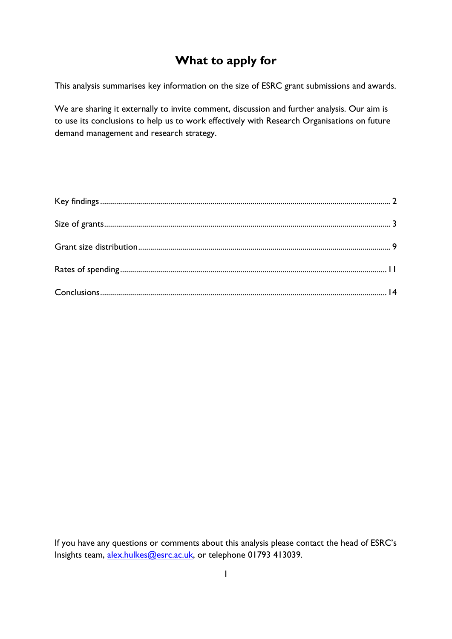# **What to apply for**

This analysis summarises key information on the size of ESRC grant submissions and awards.

We are sharing it externally to invite comment, discussion and further analysis. Our aim is to use its conclusions to help us to work effectively with Research Organisations on future demand management and research strategy.

If you have any questions or comments about this analysis please contact the head of ESRC's Insights team, [alex.hulkes@esrc.ac.uk,](mailto:alex.hulkes@esrc.ac.uk) or telephone 01793 413039.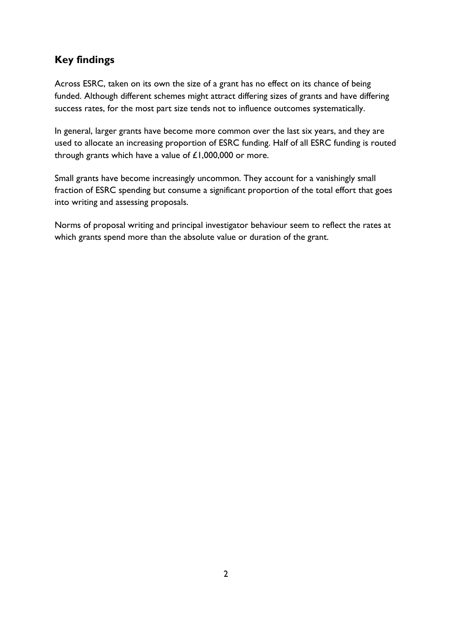## <span id="page-1-0"></span>**Key findings**

Across ESRC, taken on its own the size of a grant has no effect on its chance of being funded. Although different schemes might attract differing sizes of grants and have differing success rates, for the most part size tends not to influence outcomes systematically.

In general, larger grants have become more common over the last six years, and they are used to allocate an increasing proportion of ESRC funding. Half of all ESRC funding is routed through grants which have a value of  $£1,000,000$  or more.

Small grants have become increasingly uncommon. They account for a vanishingly small fraction of ESRC spending but consume a significant proportion of the total effort that goes into writing and assessing proposals.

Norms of proposal writing and principal investigator behaviour seem to reflect the rates at which grants spend more than the absolute value or duration of the grant.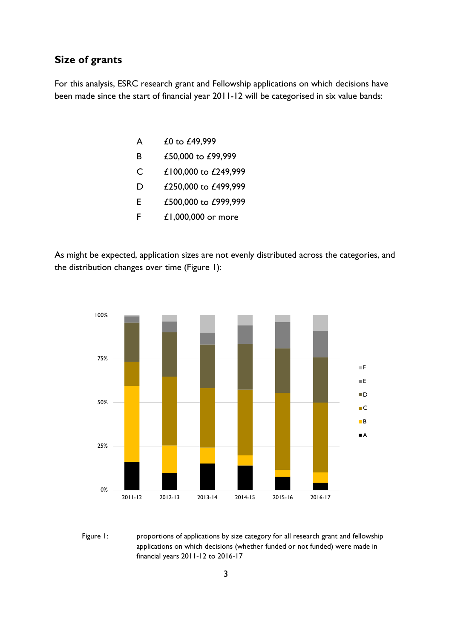#### <span id="page-2-0"></span>**Size of grants**

For this analysis, ESRC research grant and Fellowship applications on which decisions have been made since the start of financial year 2011-12 will be categorised in six value bands:

| A | £0 to £49,999        |
|---|----------------------|
| B | £50,000 to £99,999   |
| C | £100,000 to £249,999 |
| D | £250,000 to £499,999 |
| F | £500,000 to £999,999 |
| F | £1,000,000 or more   |

As might be expected, application sizes are not evenly distributed across the categories, and the distribution changes over time (Figure 1):



Figure 1: proportions of applications by size category for all research grant and fellowship applications on which decisions (whether funded or not funded) were made in financial years 2011-12 to 2016-17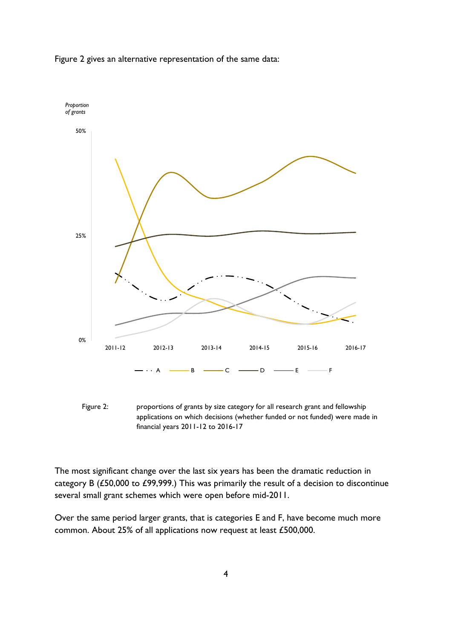

Figure 2 gives an alternative representation of the same data:



The most significant change over the last six years has been the dramatic reduction in category B (£50,000 to £99,999.) This was primarily the result of a decision to discontinue several small grant schemes which were open before mid-2011.

Over the same period larger grants, that is categories E and F, have become much more common. About 25% of all applications now request at least £500,000.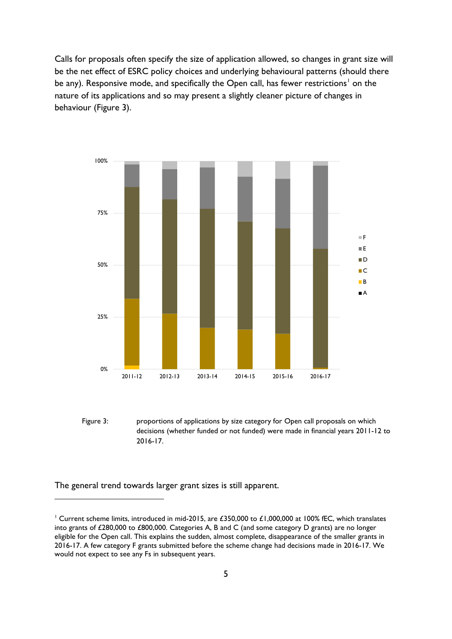Calls for proposals often specify the size of application allowed, so changes in grant size will be the net effect of ESRC policy choices and underlying behavioural patterns (should there be any). Responsive mode, and specifically the Open call, has fewer restrictions<sup>[1](#page-4-0)</sup> on the nature of its applications and so may present a slightly cleaner picture of changes in behaviour (Figure 3).



Figure 3: proportions of applications by size category for Open call proposals on which decisions (whether funded or not funded) were made in financial years 2011-12 to 2016-17.

The general trend towards larger grant sizes is still apparent.

<span id="page-4-0"></span><sup>&</sup>lt;sup>1</sup> Current scheme limits, introduced in mid-2015, are £350,000 to £1,000,000 at 100% fEC, which translates into grants of £280,000 to £800,000. Categories A, B and C (and some category D grants) are no longer eligible for the Open call. This explains the sudden, almost complete, disappearance of the smaller grants in 2016-17. A few category F grants submitted before the scheme change had decisions made in 2016-17. We would not expect to see any Fs in subsequent years.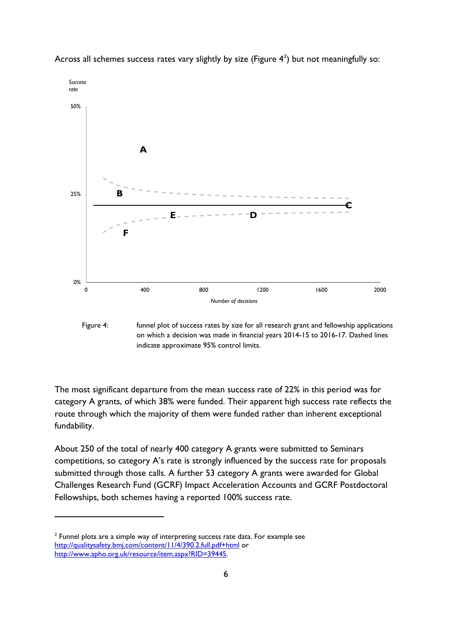

Across all schemes success rates vary slightly by size (Figure  $4^2$  $4^2$ ) but not meaningfully so:

Figure 4: funnel plot of success rates by size for all research grant and fellowship applications on which a decision was made in financial years 2014-15 to 2016-17. Dashed lines indicate approximate 95% control limits.

The most significant departure from the mean success rate of 22% in this period was for category A grants, of which 38% were funded. Their apparent high success rate reflects the route through which the majority of them were funded rather than inherent exceptional fundability.

About 250 of the total of nearly 400 category A grants were submitted to Seminars competitions, so category A's rate is strongly influenced by the success rate for proposals submitted through those calls. A further 53 category A grants were awarded for Global Challenges Research Fund (GCRF) Impact Acceleration Accounts and GCRF Postdoctoral Fellowships, both schemes having a reported 100% success rate.

<span id="page-5-0"></span> $2$  Funnel plots are a simple way of interpreting success rate data. For example see <http://qualitysafety.bmj.com/content/11/4/390.2.full.pdf+html> or [http://www.apho.org.uk/resource/item.aspx?RID=39445.](http://www.apho.org.uk/resource/item.aspx?RID=39445)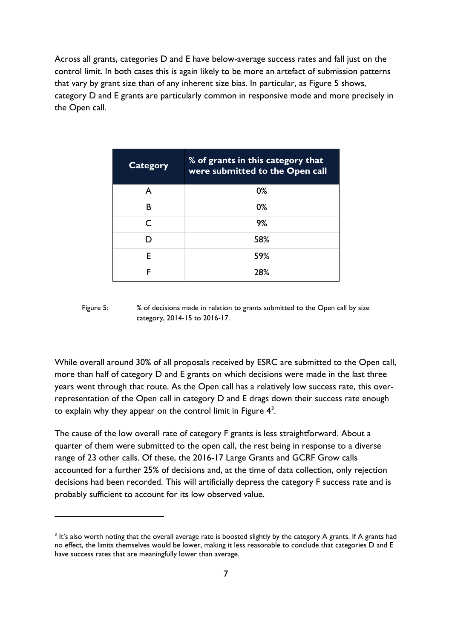Across all grants, categories D and E have below-average success rates and fall just on the control limit. In both cases this is again likely to be more an artefact of submission patterns that vary by grant size than of any inherent size bias. In particular, as Figure 5 shows, category D and E grants are particularly common in responsive mode and more precisely in the Open call.

| <b>Category</b> | % of grants in this category that<br>were submitted to the Open call |
|-----------------|----------------------------------------------------------------------|
| A               | 0%                                                                   |
| B               | 0%                                                                   |
| ⊂               | 9%                                                                   |
|                 | 58%                                                                  |
| F               | 59%                                                                  |
| F               | 28%                                                                  |

Figure 5: % of decisions made in relation to grants submitted to the Open call by size category, 2014-15 to 2016-17.

While overall around 30% of all proposals received by ESRC are submitted to the Open call, more than half of category D and E grants on which decisions were made in the last three years went through that route. As the Open call has a relatively low success rate, this overrepresentation of the Open call in category D and E drags down their success rate enough to explain why they appear on the control limit in Figure  $4^3$ .

The cause of the low overall rate of category F grants is less straightforward. About a quarter of them were submitted to the open call, the rest being in response to a diverse range of 23 other calls. Of these, the 2016-17 Large Grants and GCRF Grow calls accounted for a further 25% of decisions and, at the time of data collection, only rejection decisions had been recorded. This will artificially depress the category F success rate and is probably sufficient to account for its low observed value.

<span id="page-6-0"></span> $3$  It's also worth noting that the overall average rate is boosted slightly by the category A grants. If A grants had no effect, the limits themselves would be lower, making it less reasonable to conclude that categories D and E have success rates that are meaningfully lower than average.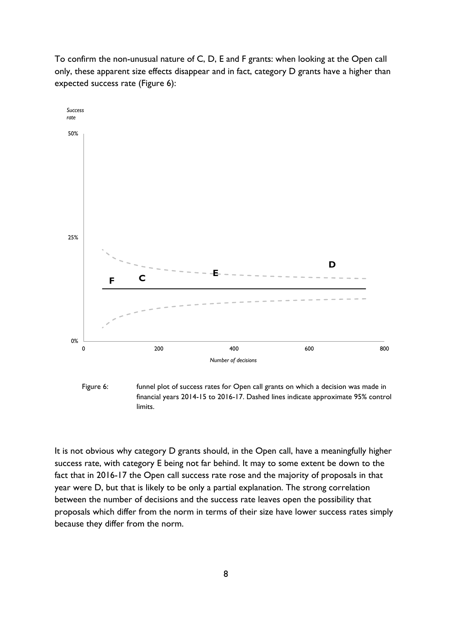To confirm the non-unusual nature of C, D, E and F grants: when looking at the Open call only, these apparent size effects disappear and in fact, category D grants have a higher than expected success rate (Figure 6):



Figure 6: funnel plot of success rates for Open call grants on which a decision was made in financial years 2014-15 to 2016-17. Dashed lines indicate approximate 95% control limits.

It is not obvious why category D grants should, in the Open call, have a meaningfully higher success rate, with category E being not far behind. It may to some extent be down to the fact that in 2016-17 the Open call success rate rose and the majority of proposals in that year were D, but that is likely to be only a partial explanation. The strong correlation between the number of decisions and the success rate leaves open the possibility that proposals which differ from the norm in terms of their size have lower success rates simply because they differ from the norm.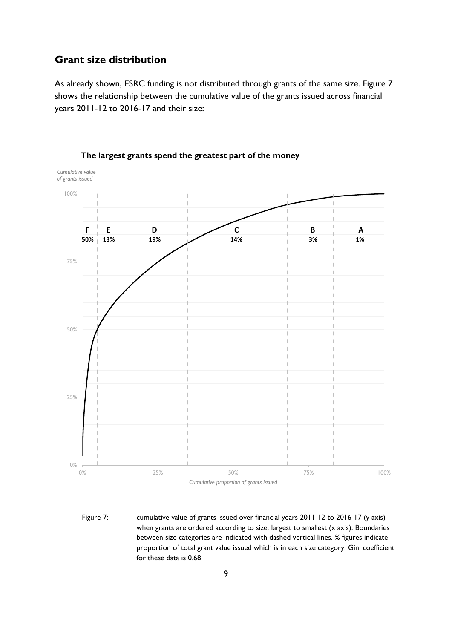#### <span id="page-8-0"></span>**Grant size distribution**

As already shown, ESRC funding is not distributed through grants of the same size. Figure 7 shows the relationship between the cumulative value of the grants issued across financial years 2011-12 to 2016-17 and their size:



**The largest grants spend the greatest part of the money**

Figure 7: cumulative value of grants issued over financial years 2011-12 to 2016-17 (y axis) when grants are ordered according to size, largest to smallest (x axis). Boundaries between size categories are indicated with dashed vertical lines. % figures indicate proportion of total grant value issued which is in each size category. Gini coefficient for these data is 0.68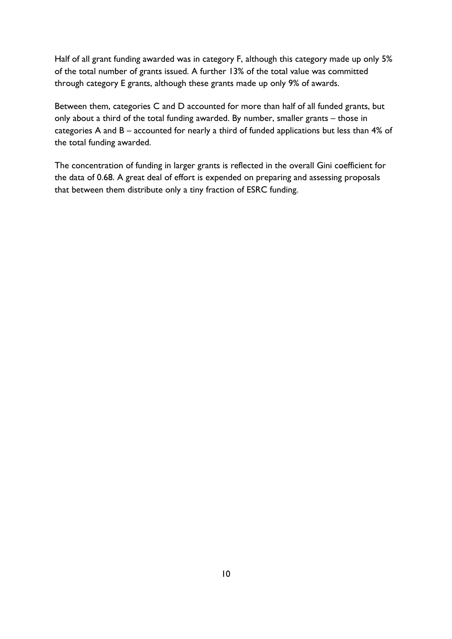Half of all grant funding awarded was in category F, although this category made up only 5% of the total number of grants issued. A further 13% of the total value was committed through category E grants, although these grants made up only 9% of awards.

Between them, categories C and D accounted for more than half of all funded grants, but only about a third of the total funding awarded. By number, smaller grants – those in categories A and B – accounted for nearly a third of funded applications but less than 4% of the total funding awarded.

The concentration of funding in larger grants is reflected in the overall Gini coefficient for the data of 0.68. A great deal of effort is expended on preparing and assessing proposals that between them distribute only a tiny fraction of ESRC funding.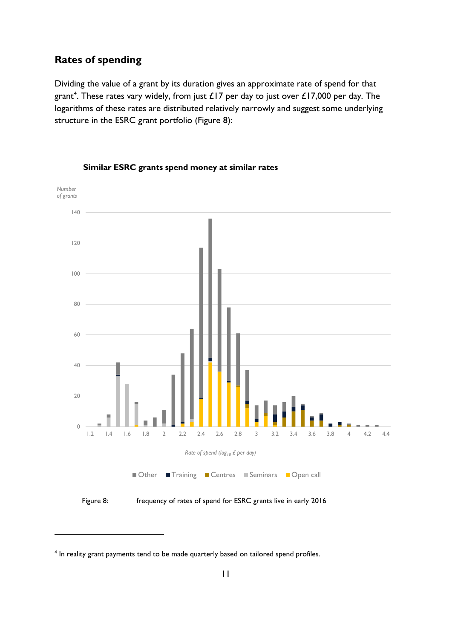### <span id="page-10-0"></span>**Rates of spending**

Dividing the value of a grant by its duration gives an approximate rate of spend for that grant<sup>[4](#page-10-1)</sup>. These rates vary widely, from just £17 per day to just over £17,000 per day. The logarithms of these rates are distributed relatively narrowly and suggest some underlying structure in the ESRC grant portfolio (Figure 8):



**Similar ESRC grants spend money at similar rates**

Figure 8: frequency of rates of spend for ESRC grants live in early 2016

<span id="page-10-1"></span><sup>&</sup>lt;sup>4</sup> In reality grant payments tend to be made quarterly based on tailored spend profiles.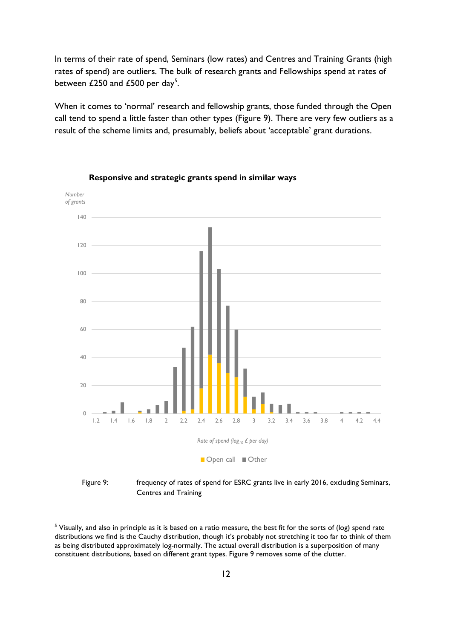In terms of their rate of spend, Seminars (low rates) and Centres and Training Grants (high rates of spend) are outliers. The bulk of research grants and Fellowships spend at rates of between £2[5](#page-11-0)0 and £500 per day<sup>5</sup>.

When it comes to 'normal' research and fellowship grants, those funded through the Open call tend to spend a little faster than other types (Figure 9). There are very few outliers as a result of the scheme limits and, presumably, beliefs about 'acceptable' grant durations.



**Responsive and strategic grants spend in similar ways**

<u>.</u>

Centres and Training

<span id="page-11-0"></span><sup>&</sup>lt;sup>5</sup> Visually, and also in principle as it is based on a ratio measure, the best fit for the sorts of (log) spend rate distributions we find is the Cauchy distribution, though it's probably not stretching it too far to think of them as being distributed approximately log-normally. The actual overall distribution is a superposition of many constituent distributions, based on different grant types. Figure 9 removes some of the clutter.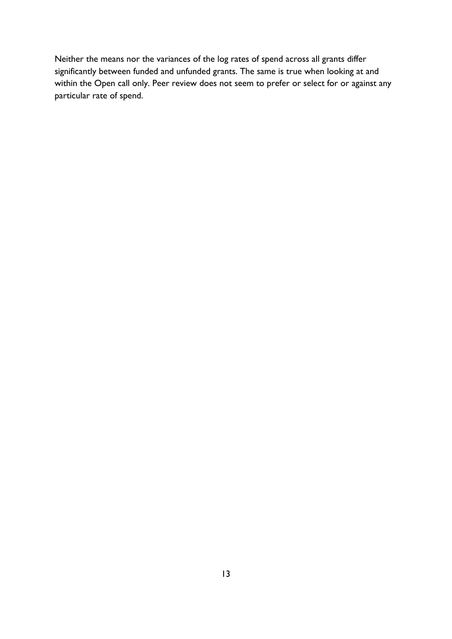Neither the means nor the variances of the log rates of spend across all grants differ significantly between funded and unfunded grants. The same is true when looking at and within the Open call only. Peer review does not seem to prefer or select for or against any particular rate of spend.